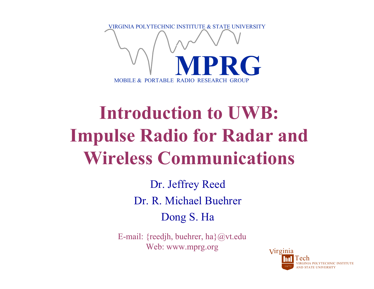

# **Introduction to UWB: Impulse Radio for Radar and Wireless Communications**

Dr. Jeffrey Reed Dr. R. Michael BuehrerDong S. Ha

E-mail: {reedjh, buehrer, ha}@vt.edu Web: www.mprg.org

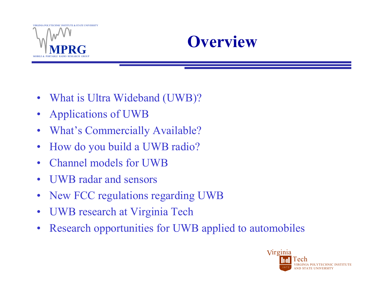



- What is Ultra Wideband (UWB)?
- Applications of UWB
- $\bullet$ What's Commercially Available?
- •How do you build a UWB radio?
- $\bullet$ Channel models for UWB
- •UWB radar and sensors
- •New FCC regulations regarding UWB
- $\bullet$ UWB research at Virginia Tech
- •Research opportunities for UWB applied to automobiles

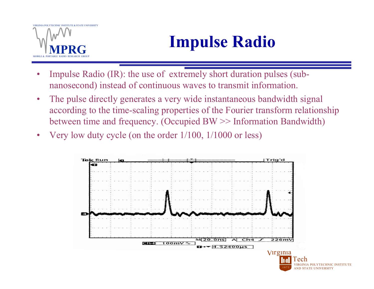# **Impulse Radio**

- • Impulse Radio (IR): the use of extremely short duration pulses (subnanosecond) instead of continuous waves to transmit information.
- $\bullet$  The pulse directly generates a very wide instantaneous bandwidth signal according to the time-scaling properties of the Fourier transform relationship between time and frequency. (Occupied BW >> Information Bandwidth)
- $\bullet$ Very low duty cycle (on the order 1/100, 1/1000 or less)

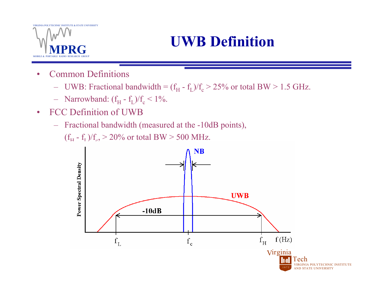## **UWB Definition**

- • Common Definitions
	- UWB: Fractional bandwidth =  $(f_H f_L)/f_c > 25\%$  or total BW > 1.5 GHz.
	- Narrowband:  $(f_H f_L)/f_c < 1\%$ .
- $\bullet$  FCC Definition of UWB
	- Fractional bandwidth (measured at the -10dB points),

(f<sub>H</sub> - f<sub>L</sub>)/f<sub>c</sub>,  $>$  20% or total BW  $>$  500 MHz.

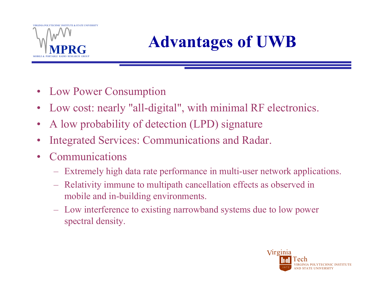

# **Advantages of UWB**

- Low Power Consumption
- $\bullet$ Low cost: nearly "all-digital", with minimal RF electronics.
- $\bullet$ A low probability of detection (LPD) signature
- •Integrated Services: Communications and Radar.
- $\bullet$  Communications
	- Extremely high data rate performance in multi-user network applications.
	- – Relativity immune to multipath cancellation effects as observed in mobile and in-building environments.
	- Low interference to existing narrowband systems due to low power spectral density.

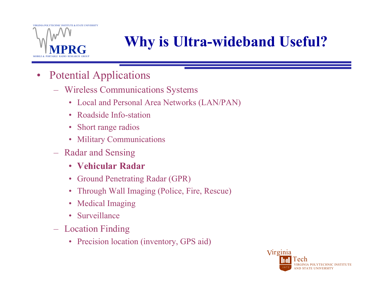

## **Why is Ultra-wideband Useful?**

- $\bullet$  Potential Applications
	- Wireless Communications Systems
		- Local and Personal Area Networks (LAN/PAN)
		- Roadside Info-station
		- Short range radios
		- Military Communications
	- Radar and Sensing
		- **Vehicular Radar**
		- Ground Penetrating Radar (GPR)
		- $\bullet$ Through Wall Imaging (Police, Fire, Rescue)
		- $\bullet$ Medical Imaging
		- Surveillance
	- – Location Finding
		- Precision location (inventory, GPS aid)

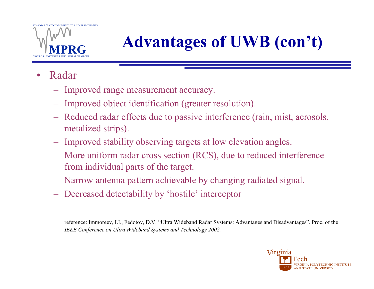

# **Advantages of UWB (con't)**

- • Radar
	- Improved range measurement accuracy.
	- –Improved object identification (greater resolution).
	- Reduced radar effects due to passive interference (rain, mist, aerosols, metalized strips).
	- Improved stability observing targets at low elevation angles.
	- – More uniform radar cross section (RCS), due to reduced interference from individual parts of the target.
	- $\mathcal{L}_{\mathcal{A}}$ Narrow antenna pattern achievable by changing radiated signal.
	- Decreased detectability by 'hostile' interceptor

reference: Immoreev, I.I., Fedotov, D.V. "Ultra Wideband Radar Systems: Advantages and Disadvantages". Proc. of the *IEEE Conference on Ultra Wideband Systems and Technology 2002.*

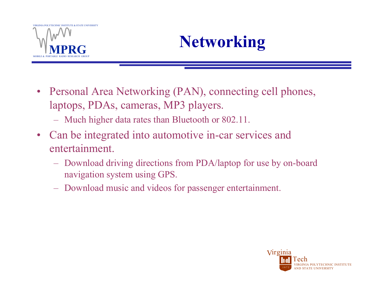

# **Networking**

- Personal Area Networking (PAN), connecting cell phones, laptops, PDAs, cameras, MP3 players.
	- –Much higher data rates than Bluetooth or 802.11.
- Can be integrated into automotive in-car services and entertainment.
	- Download driving directions from PDA/laptop for use by on-board navigation system using GPS.
	- –Download music and videos for passenger entertainment.

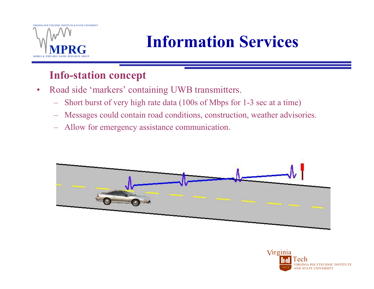

# **Information Services**

### **Info-station concept**

- $\bullet$  Road side 'markers' containing UWB transmitters.
	- Short burst of very high rate data (100s of Mbps for 1-3 sec at a time)
	- Messages could contain road conditions, construction, weather advisories.
	- –Allow for emergency assistance communication.



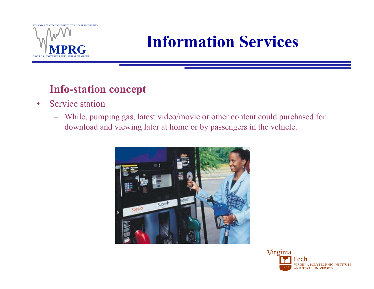

## **Information Services**

### **Info-station concept**

- $\bullet$  Service station
	- While, pumping gas, latest video/movie or other content could purchased for download and viewing later at home or by passengers in the vehicle.



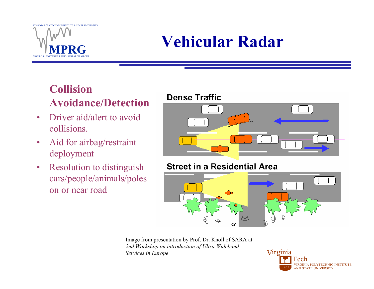# **Vehicular Radar**

### **Collision Avoidance/Detection**

- • Driver aid/alert to avoid collisions.
- $\bullet$  Aid for airbag/restraint deployment
- $\bullet$  Resolution to distinguish cars/people/animals/poles on or near road

#### **Dense Traffic**



#### **Street in a Residential Area**



Image from presentation by Prof. Dr. Knoll of SARA at *2nd Workshop on introduction of Ultra Wideband Services in Europe*

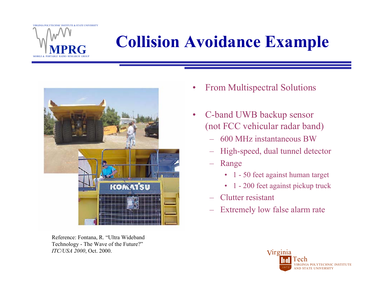# **Collision Avoidance Example**



Reference: Fontana, R. "Ultra Wideband Technology - The Wave of the Future?" *ITC/USA 2000*, Oct. 2000.

- $\bullet$ From Multispectral Solutions
- $\bullet$  C-band UWB backup sensor (not FCC vehicular radar band)
	- 600 MHz instantaneous BW
	- High-speed, dual tunnel detector
	- Range
		- 1 50 feet against human target
		- 1 200 feet against pickup truck
	- Clutter resistant
	- Extremely low false alarm rate

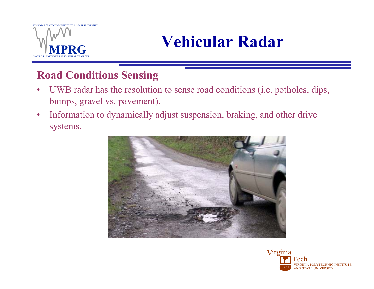

## **Vehicular Radar**

### **Road Conditions Sensing**

- • UWB radar has the resolution to sense road conditions (i.e. potholes, dips, bumps, gravel vs. pavement).
- $\bullet$  Information to dynamically adjust suspension, braking, and other drive systems.



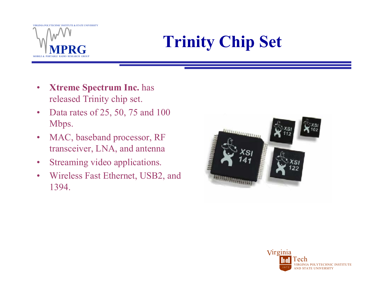# **Trinity Chip Set**

- $\bullet$  **Xtreme Spectrum Inc.** has released Trinity chip set.
- $\bullet$  Data rates of 25, 50, 75 and 100 Mbps.
- $\bullet$  MAC, baseband processor, RF transceiver, LNA, and antenna
- $\bullet$ Streaming video applications.
- • Wireless Fast Ethernet, USB2, and 1394.



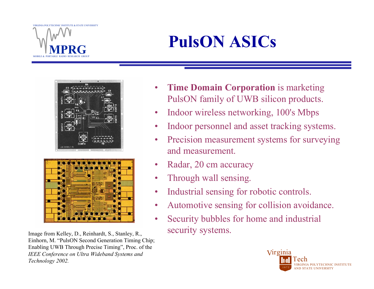# **PulsON ASICs**



Image from Kelley, D., Reinhardt, S., Stanley, R., Security systems. Einhorn, M. "PulsON Second Generation Timing Chip; Enabling UWB Through Precise Timing", Proc. of the *IEEE Conference on Ultra Wideband Systems and Technology 2002.*

- • **Time Domain Corporation** is marketing PulsON family of UWB silicon products.
- •Indoor wireless networking, 100's Mbps
- •Indoor personnel and asset tracking systems.
- • Precision measurement systems for surveying and measurement.
- •Radar, 20 cm accuracy
- •Through wall sensing.
- •Industrial sensing for robotic controls.
- •Automotive sensing for collision avoidance.
- •Security bubbles for home and industrial

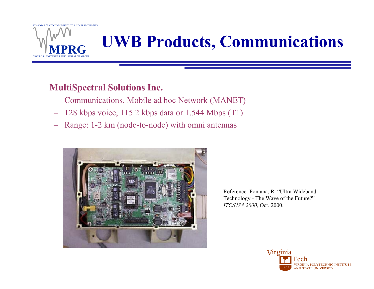

## **UWB Products, Communications**

#### **MultiSpectral Solutions Inc.**

- Communications, Mobile ad hoc Network (MANET)
- 128 kbps voice, 115.2 kbps data or 1.544 Mbps (T1)
- –Range: 1-2 km (node-to-node) with omni antennas



Reference: Fontana, R. "Ultra Wideband Technology - The Wave of the Future?" *ITC/USA 2000*, Oct. 2000.

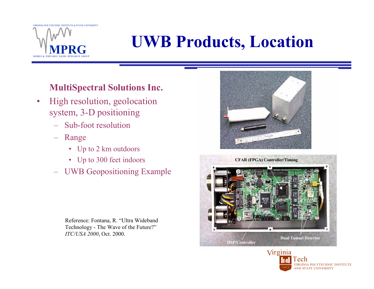# **UWB Products, Location**

### **MultiSpectral Solutions Inc.**

- $\bullet$  High resolution, geolocation system, 3-D positioning
	- Sub-foot resolution
	- Range
		- Up to 2 km outdoors
		- Up to 300 feet indoors
	- UWB Geopositioning Example

Reference: Fontana, R. "Ultra Wideband Technology - The Wave of the Future?" *ITC/USA 2000*, Oct. 2000.





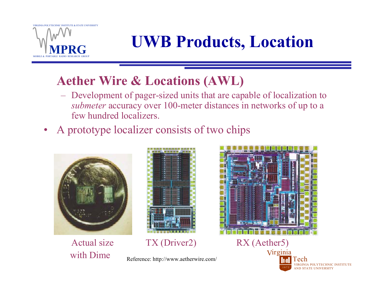

## **UWB Products, Location**

### **Aether Wire & Locations (AWL)**

- Development of pager-sized units that are capable of localization to *submeter* accuracy over 100-meter distances in networks of up to a few hundred localizers.
- •A prototype localizer consists of two chips



with Dime



Actual size TX (Driver2) RX (Aether5)

Reference: http://www.aetherwire.com/



VIA POLYTECHNIC INSTITUTE D STATE UNIVERSITY TechVirginia 1 8 7 2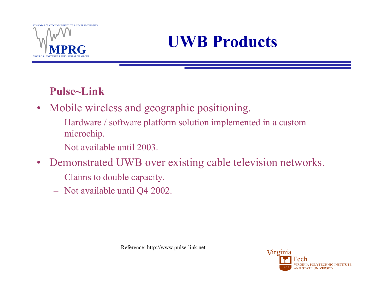

## **UWB Products**

### **Pulse~Link**

- • Mobile wireless and geographic positioning.
	- Hardware / software platform solution implemented in a custom microchip.
	- Not available until 2003.
- • Demonstrated UWB over existing cable television networks.
	- Claims to double capacity.
	- Not available until Q4 2002.

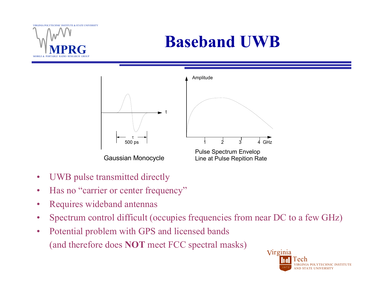

## **Baseband UWB**



Gaussian Monocycle



Pulse Spectrum Envelop Line at Pulse Repition Rate

- •UWB pulse transmitted directly
- $\bullet$ Has no "carrier or center frequency"
- •Requires wideband antennas
- •Spectrum control difficult (occupies frequencies from near DC to a few GHz)
- $\bullet$  Potential problem with GPS and licensed bands (and therefore does **NOT** meet FCC spectral masks)

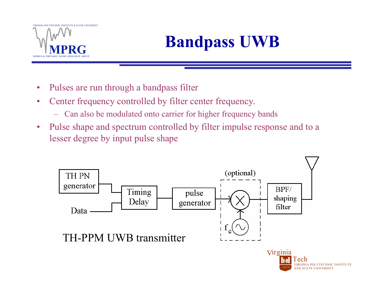

# **Bandpass UWB**

- •Pulses are run through a bandpass filter
- • Center frequency controlled by filter center frequency.
	- Can also be modulated onto carrier for higher frequency bands
- $\bullet$  Pulse shape and spectrum controlled by filter impulse response and to a lesser degree by input pulse shape

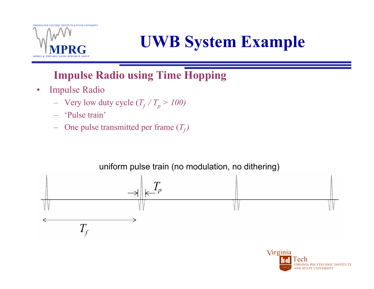

# **UWB System Example**

### **Impulse Radio using Time Hopping**

- $\bullet$  Impulse Radio
	- $-$  Very low duty cycle  $(T_f / T_p > 100)$
	- 'Pulse train'
	- One pulse transmitted per frame  $(T_f)$

#### uniform pulse train (no modulation, no dithering)



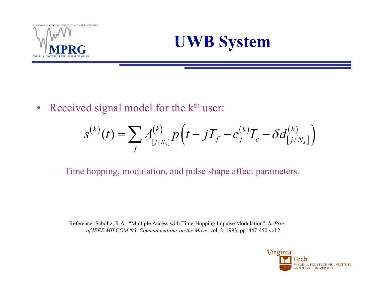



•Received signal model for the k<sup>th</sup> user:

$$
s^{(k)}(t) = \sum_{j} A^{(k)}_{[j/N_s]} p(t - jT_f - c^{(k)}_j T_c - \delta d^{(k)}_{[j/N_s]})
$$

Time hopping, modulation, and pulse shape affect parameters.

Reference: Scholtz, R.A. "Multiple Access with Time-Hopping Impulse Modulation". *In Proc. of IEEE MILCOM '93, Communications on the Move*, vol, 2, 1993, pp. 447-450 vol.2

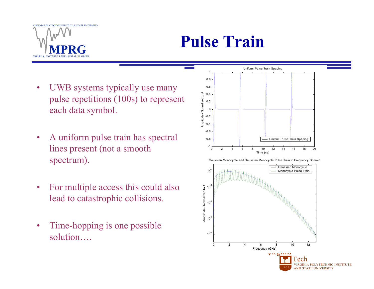

## **Pulse Train**

- • UWB systems typically use many pulse repetitions (100s) to represent each data symbol.
- $\bullet$  A uniform pulse train has spectral lines present (not a smooth spectrum).
- $\bullet$  For multiple access this could also lead to catastrophic collisions.
- • Time-hopping is one possible solution….

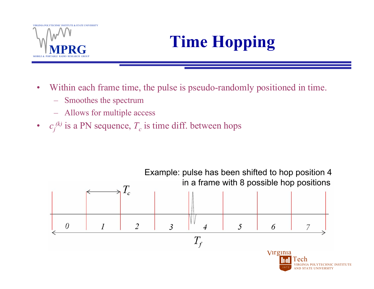

# **Time Hopping**

- $\bullet$  Within each frame time, the pulse is pseudo-randomly positioned in time.
	- Smoothes the spectrum
	- Allows for multiple access
- $c_j^{(k)}$  is a PN sequence,  $T_c$  is time diff. between hops

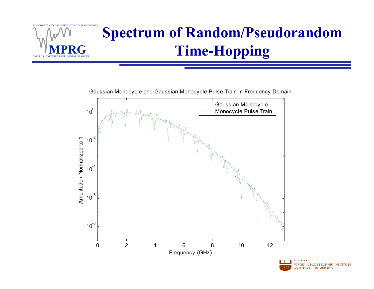

Gaussian Monocycle and Gaussian Monocycle Pulse Train in Frequency Domain



VIRGINIA POLYTECHNIC INSTITUTE AND STATE UNIVERSITYtechnica<br>Technica 1 8 7 2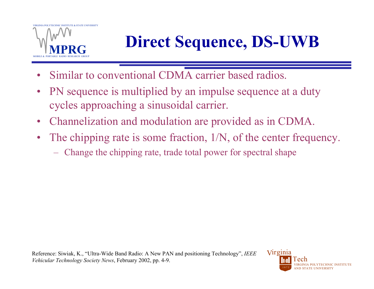

# **Direct Sequence, DS-UWB**

- •Similar to conventional CDMA carrier based radios.
- $\bullet$  PN sequence is multiplied by an impulse sequence at a duty cycles approaching a sinusoidal carrier.
- $\bullet$ Channelization and modulation are provided as in CDMA.
- • The chipping rate is some fraction, 1/N, of the center frequency.
	- –Change the chipping rate, trade total power for spectral shape

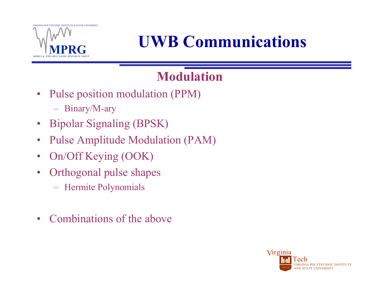

# **UWB Communications**

### **Modulation**

- Pulse position modulation (PPM)
	- $\mathcal{L}_{\mathcal{A}}$ Binary/M-ary
- Bipolar Signaling (BPSK)
- $\bullet$ Pulse Amplitude Modulation (PAM)
- $\bullet$ On/Off Keying (OOK)
- $\bullet$  Orthogonal pulse shapes
	- Hermite Polynomials
- $\bullet$ Combinations of the above

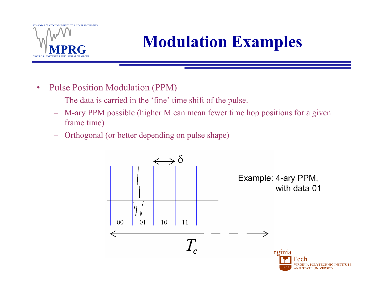

# **Modulation Examples**

- $\bullet$  Pulse Position Modulation (PPM)
	- The data is carried in the 'fine' time shift of the pulse.
	- – M-ary PPM possible (higher M can mean fewer time hop positions for a given frame time)
	- Orthogonal (or better depending on pulse shape)

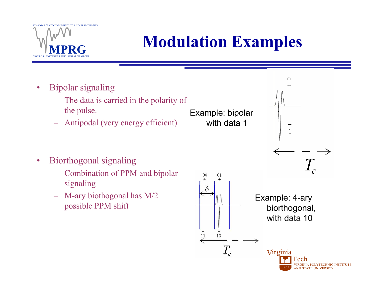

# **Modulation Examples**

Example: bipolar

with data 1

- $\bullet$  Bipolar signaling
	- The data is carried in the polarity of the pulse.
	- Antipodal (very energy efficient)

- • Biorthogonal signaling
	- Combination of PPM and bipolar signaling
	- – M-ary biothogonal has M/2 possible PPM shift



 $T_c^{\rm }$ Example: 4-ary

 $\theta$ 

biorthogonal, with data 10

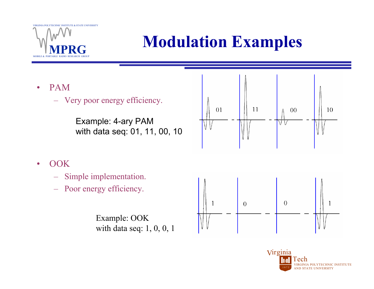

# **Modulation Examples**

- • PAM
	- Very poor energy efficiency.

Example: 4-ary PAM with data seq: 01, 11, 00, 10



- •**OOK** 
	- Simple implementation.
	- –Poor energy efficiency.

Example: OOK with data seq: 1, 0, 0, 1



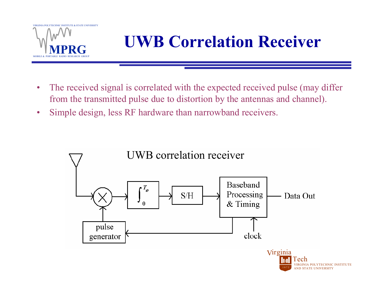

# **UWB Correlation Receiver**

- $\bullet$  The received signal is correlated with the expected received pulse (may differ from the transmitted pulse due to distortion by the antennas and channel).
- $\bullet$ Simple design, less RF hardware than narrowband receivers.

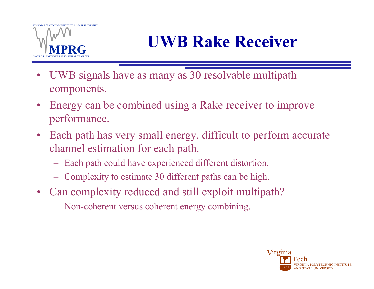# **UWB Rake Receiver**

- $\bullet$  UWB signals have as many as 30 resolvable multipath components.
- Energy can be combined using a Rake receiver to improve performance.
- Each path has very small energy, difficult to perform accurate channel estimation for each path.
	- Each path could have experienced different distortion.
	- –Complexity to estimate 30 different paths can be high.
- Can complexity reduced and still exploit multipath?
	- $\mathcal{L}_{\mathcal{A}}$ Non-coherent versus coherent energy combining.

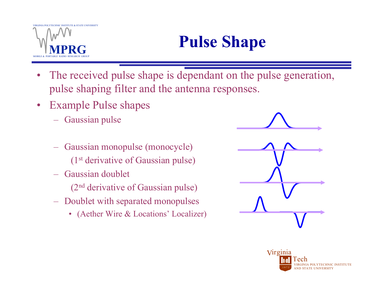# **Pulse Shape**

- $\bullet$  The received pulse shape is dependant on the pulse generation, pulse shaping filter and the antenna responses.
- Example Pulse shapes
	- –Gaussian pulse
	- Gaussian monopulse (monocycle) (1st derivative of Gaussian pulse)
	- Gaussian doublet
		- (2nd derivative of Gaussian pulse)
	- – Doublet with separated monopulses
		- (Aether Wire & Locations' Localizer)



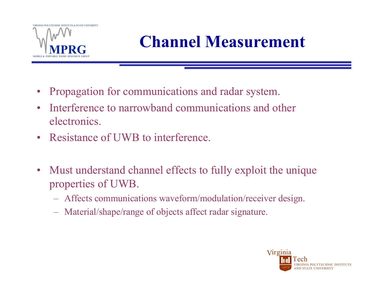

# **Channel Measurement**

- $\bullet$ Propagation for communications and radar system.
- • Interference to narrowband communications and other electronics.
- Resistance of UWB to interference.
- Must understand channel effects to fully exploit the unique properties of UWB.
	- Affects communications waveform/modulation/receiver design.
	- Material/shape/range of objects affect radar signature.

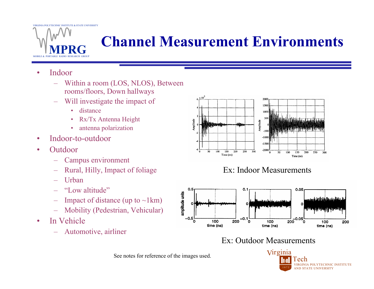## **Channel Measurement Environments**

#### •Indoor

- Within a room (LOS, NLOS), Between rooms/floors, Down hallways
- Will investigate the impact of
	- distance
	- •Rx/Tx Antenna Height
	- •antenna polarization
- •Indoor-to-outdoor
- •**Outdoor** 
	- Campus environment
	- Rural, Hilly, Impact of foliage
	- **Urban**
	- "Low altitude"
	- Impact of distance (up to  $\neg$ 1km)
	- Mobility (Pedestrian, Vehicular)
- • In Vehicle
	- Automotive, airliner



#### Ex: Indoor Measurements



#### Ex: Outdoor Measurements



See notes for reference of the images used.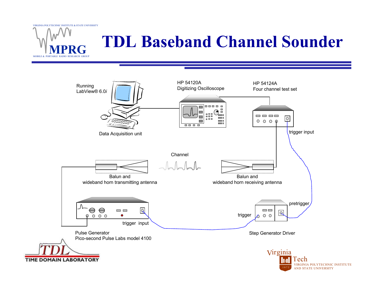

## **TDL Baseband Channel Sounder**

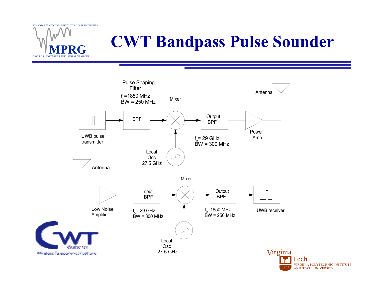

# **CWT Bandpass Pulse Sounder**

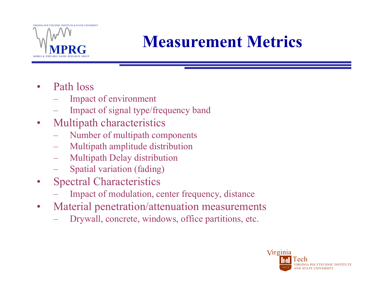

## **Measurement Metrics**

- • Path loss
	- –Impact of environment
	- –Impact of signal type/frequency band
- $\bullet$  Multipath characteristics
	- Number of multipath components
	- Multipath amplitude distribution
	- Multipath Delay distribution
	- Spatial variation (fading)
- $\bullet$  Spectral Characteristics
	- Impact of modulation, center frequency, distance
- $\bullet$  Material penetration/attenuation measurements
	- –Drywall, concrete, windows, office partitions, etc.

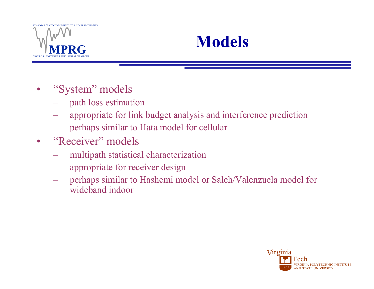



- $\bullet$  "System" models
	- path loss estimation
	- appropriate for link budget analysis and interference prediction
	- perhaps similar to Hata model for cellular
- $\bullet$ "Receiver" models
	- –multipath statistical characterization
	- –appropriate for receiver design
	- perhaps similar to Hashemi model or Saleh/Valenzuela model for wideband indoor

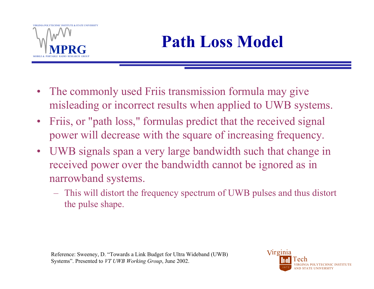

- The commonly used Friis transmission formula may give misleading or incorrect results when applied to UWB systems.
- Friis, or "path loss," formulas predict that the received signal power will decrease with the square of increasing frequency.
- UWB signals span a very large bandwidth such that change in received power over the bandwidth cannot be ignored as in narrowband systems.
	- – This will distort the frequency spectrum of UWB pulses and thus distort the pulse shape.

Reference: Sweeney, D. "Towards a Link Budget for Ultra Wideband (UWB) Systems". Presented to *VT UWB Working Group*, June 2002.

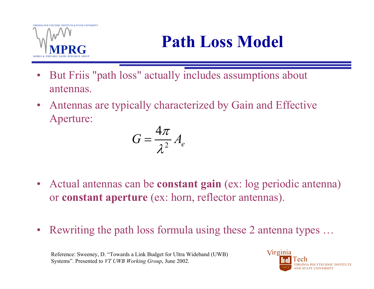

# **Path Loss Model**

- $\bullet$  But Friis "path loss" actually includes assumptions about antennas.
- • Antennas are typically characterized by Gain and Effective Aperture:

$$
G = \frac{4\pi}{\lambda^2} A_e
$$

- Actual antennas can be **constant gain** (ex: log periodic antenna) or **constant aperture** (ex: horn, reflector antennas).
- •Rewriting the path loss formula using these 2 antenna types …

Reference: Sweeney, D. "Towards a Link Budget for Ultra Wideband (UWB) Systems". Presented to *VT UWB Working Group*, June 2002.

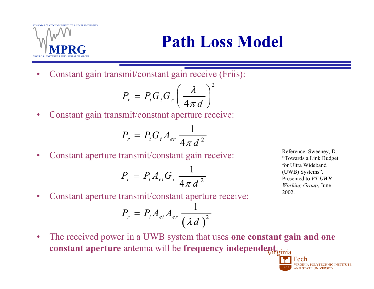

## **Path Loss Model**

•Constant gain transmit/constant gain receive (Friis):

$$
P_r = P_t G_t G_r \left(\frac{\lambda}{4\pi d}\right)^2
$$

 $\bullet$ Constant gain transmit/constant aperture receive:

$$
P_r = P_t G_t A_{er} \frac{1}{4\pi d^2}
$$

•Constant aperture transmit/constant gain receive:

$$
P_r = P_t A_{et} G_r \frac{1}{4\pi d^2}
$$

Reference: Sweeney, D. "Towards a Link Budget for Ultra Wideband (UWB) Systems". Presented to *VT UWB Working Group*, June 2002.

VIRGINIA POLYTECHNIC INSTITUTE

AND STATE UNIVERSITY

Tech

1 8 7 2

•Constant aperture transmit/constant aperture receive:

$$
P_r = P_t A_{et} A_{er} \frac{1}{\left(\lambda d\right)^2}
$$

**constant aperture** antenna will be **frequency independent** virginia  $\bullet$ The received power in a UWB system that uses **one constant gain and one**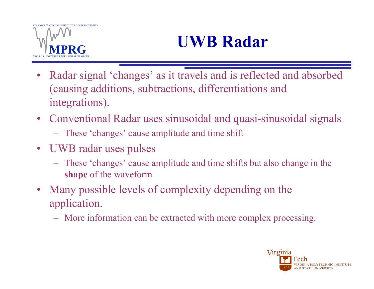# **UWB Radar**

- $\bullet$  Radar signal 'changes' as it travels and is reflected and absorbed (causing additions, subtractions, differentiations and integrations).
- Conventional Radar uses sinusoidal and quasi-sinusoidal signals
	- These 'changes' cause amplitude and time shift
- UWB radar uses pulses
	- These 'changes' cause amplitude and time shifts but also change in the **shape** of the waveform
- • Many possible levels of complexity depending on the application.
	- $\mathcal{L}_{\mathcal{A}}$ More information can be extracted with more complex processing.

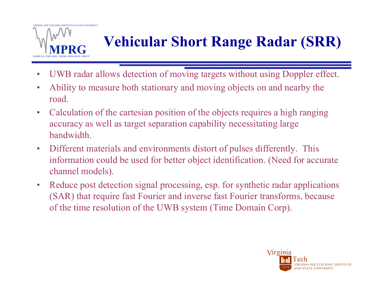

# **Vehicular Short Range Radar (SRR)**

- •UWB radar allows detection of moving targets without using Doppler effect.
- • Ability to measure both stationary and moving objects on and nearby the road.
- $\bullet$  Calculation of the cartesian position of the objects requires a high ranging accuracy as well as target separation capability necessitating large bandwidth.
- $\bullet$  Different materials and environments distort of pulses differently. This information could be used for better object identification. (Need for accurate channel models).
- $\bullet$  Reduce post detection signal processing, esp. for synthetic radar applications (SAR) that require fast Fourier and inverse fast Fourier transforms, because of the time resolution of the UWB system (Time Domain Corp).

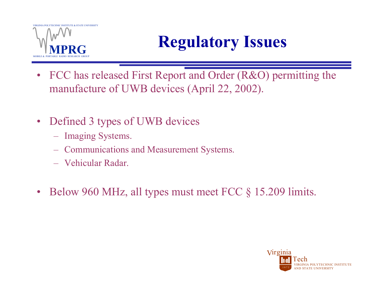

# **Regulatory Issues**

- FCC has released First Report and Order (R&O) permitting the manufacture of UWB devices (April 22, 2002).
- • Defined 3 types of UWB devices
	- –Imaging Systems.
	- Communications and Measurement Systems.
	- Vehicular Radar.
- $\bullet$ Below 960 MHz, all types must meet FCC § 15.209 limits.

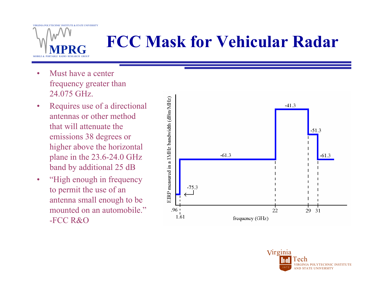

# **FCC Mask for Vehicular Radar**

- • Must have a center frequency greater than 24.075 GHz.
- • Requires use of a directional antennas or other method that will attenuate the emissions 38 degrees or higher above the horizontal plane in the 23.6-24.0 GHz band by additional 25 dB
- • "High enough in frequency to permit the use of an antenna small enough to be mounted on an automobile." -FCC R&O



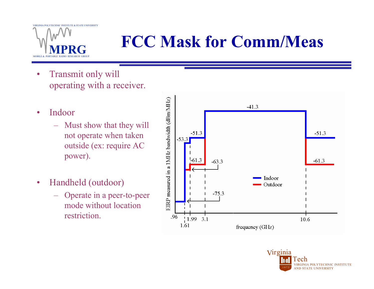

# **FCC Mask for Comm/Meas**

- • Transmit only will operating with a receiver.
- • Indoor
	- Must show that they will not operate when taken outside (ex: require AC power).
- • Handheld (outdoor)
	- Operate in a peer-to-peer mode without location restriction.



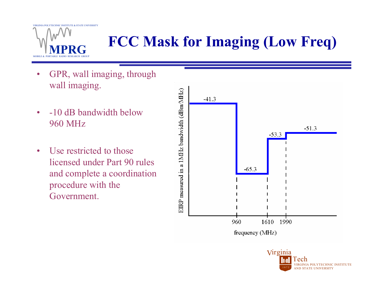

# **FCC Mask for Imaging (Low Freq)**

- • GPR, wall imaging, through wall imaging.
- • -10 dB bandwidth below 960 MHz
- $\bullet$  Use restricted to those licensed under Part 90 rules and complete a coordination procedure with the Government.



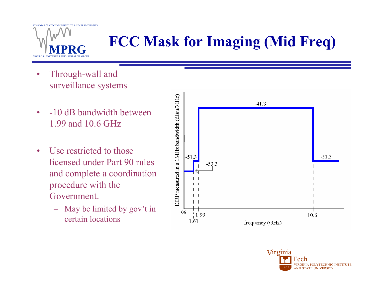

# **FCC Mask for Imaging (Mid Freq)**

- • Through-wall and surveillance systems
- $\bullet$  -10 dB bandwidth between 1.99 and 10.6 GHz
- $\bullet$  Use restricted to those licensed under Part 90 rules and complete a coordination procedure with the Government.
	- May be limited by gov't in certain locations



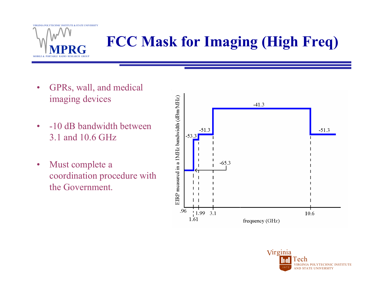

# **FCC Mask for Imaging (High Freq)**

- $\bullet$  GPRs, wall, and medical imaging devices
- $\bullet$  -10 dB bandwidth between 3.1 and 10.6 GHz
- $\bullet$  Must complete a coordination procedure with the Government.



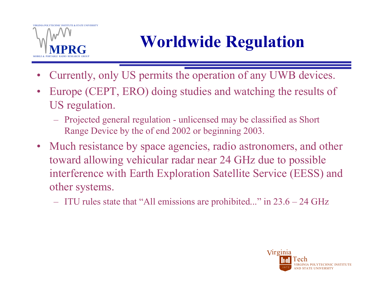# **Worldwide Regulation**

- •Currently, only US permits the operation of any UWB devices.
- $\bullet$  Europe (CEPT, ERO) doing studies and watching the results of US regulation.
	- – Projected general regulation - unlicensed may be classified as Short Range Device by the of end 2002 or beginning 2003.
- Much resistance by space agencies, radio astronomers, and other toward allowing vehicular radar near 24 GHz due to possible interference with Earth Exploration Satellite Service (EESS) and other systems.
	- $\mathcal{L}_{\mathcal{A}}$ ITU rules state that "All emissions are prohibited..." in 23.6 – 24 GHz

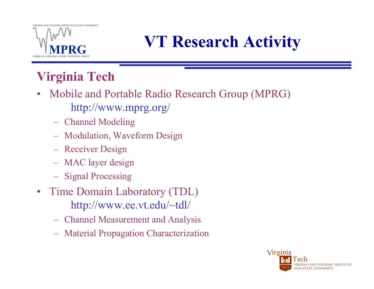

# **VT Research Activity**

### **Virginia Tech**

- Mobile and Portable Radio Research Group (MPRG) http://www.mprg.org/
	- Channel Modeling
	- –Modulation, Waveform Design
	- –Receiver Design
	- MAC layer design
	- Signal Processing
- Time Domain Laboratory (TDL) http://www.ee.vt.edu/~tdl/
	- Channel Measurement and Analysis
	- –Material Propagation Characterization

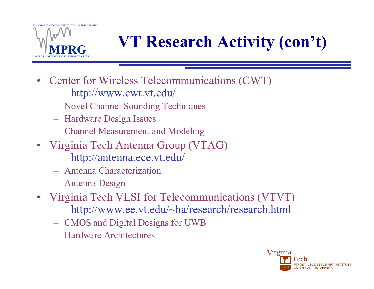

# **VT Research Activity (con't)**

- Center for Wireless Telecommunications (CWT) http://www.cwt.vt.edu/
	- –Novel Channel Sounding Techniques
	- $\mathcal{L}_{\mathcal{A}}$ Hardware Design Issues
	- Channel Measurement and Modeling
- Virginia Tech Antenna Group (VTAG) http://antenna.ece.vt.edu/
	- Antenna Characterization
	- Antenna Design
- Virginia Tech VLSI for Telecommunications (VTVT) http://www.ee.vt.edu/~ha/research/research.html
	- $\mathcal{L}_{\mathcal{A}}$ CMOS and Digital Designs for UWB
	- Hardware Architectures